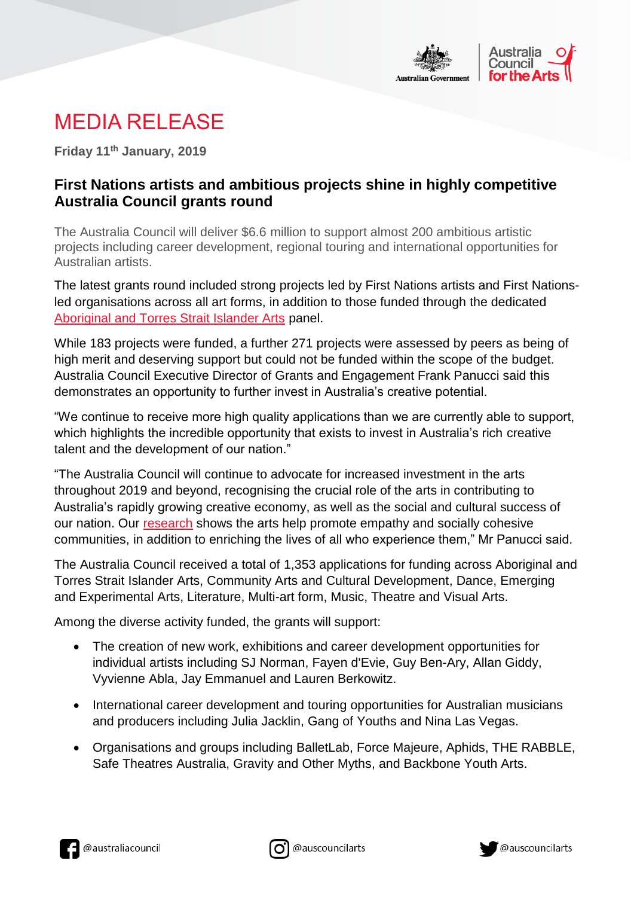

## MEDIA RELEASE

**Friday 11th January, 2019**

## **First Nations artists and ambitious projects shine in highly competitive Australia Council grants round**

The Australia Council will deliver \$6.6 million to support almost 200 ambitious artistic projects including career development, regional touring and international opportunities for Australian artists.

The latest grants round included strong projects led by First Nations artists and First Nationsled organisations across all art forms, in addition to those funded through the dedicated [Aboriginal and Torres Strait Islander Arts](https://www.australiacouncil.gov.au/aboriginal-and-torres-strait-islander-arts/) panel.

While 183 projects were funded, a further 271 projects were assessed by peers as being of high merit and deserving support but could not be funded within the scope of the budget. Australia Council Executive Director of Grants and Engagement Frank Panucci said this demonstrates an opportunity to further invest in Australia's creative potential.

"We continue to receive more high quality applications than we are currently able to support, which highlights the incredible opportunity that exists to invest in Australia's rich creative talent and the development of our nation."

"The Australia Council will continue to advocate for increased investment in the arts throughout 2019 and beyond, recognising the crucial role of the arts in contributing to Australia's rapidly growing creative economy, as well as the social and cultural success of our nation. Our [research](http://www.australiacouncil.gov.au/research/connecting-australians/) shows the arts help promote empathy and socially cohesive communities, in addition to enriching the lives of all who experience them," Mr Panucci said.

The Australia Council received a total of 1,353 applications for funding across Aboriginal and Torres Strait Islander Arts, Community Arts and Cultural Development, Dance, Emerging and Experimental Arts, Literature, Multi-art form, Music, Theatre and Visual Arts.

Among the diverse activity funded, the grants will support:

- The creation of new work, exhibitions and career development opportunities for individual artists including SJ Norman, Fayen d'Evie, Guy Ben-Ary, Allan Giddy, Vyvienne Abla, Jay Emmanuel and Lauren Berkowitz.
- International career development and touring opportunities for Australian musicians and producers including Julia Jacklin, Gang of Youths and Nina Las Vegas.
- Organisations and groups including BalletLab, Force Majeure, Aphids, THE RABBLE, Safe Theatres Australia, Gravity and Other Myths, and Backbone Youth Arts.